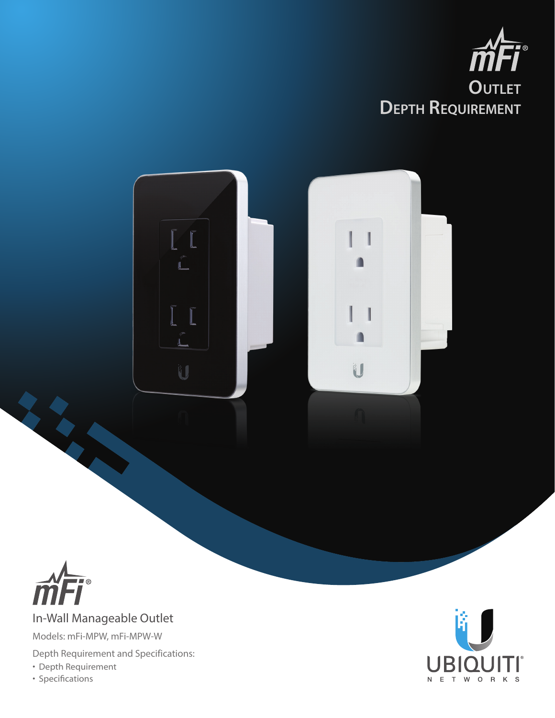





## In-Wall Manageable Outlet

Models: mFi-MPW, mFi-MPW-W

Depth Requirement and Specifications:

- Depth Requirement
- Specifications